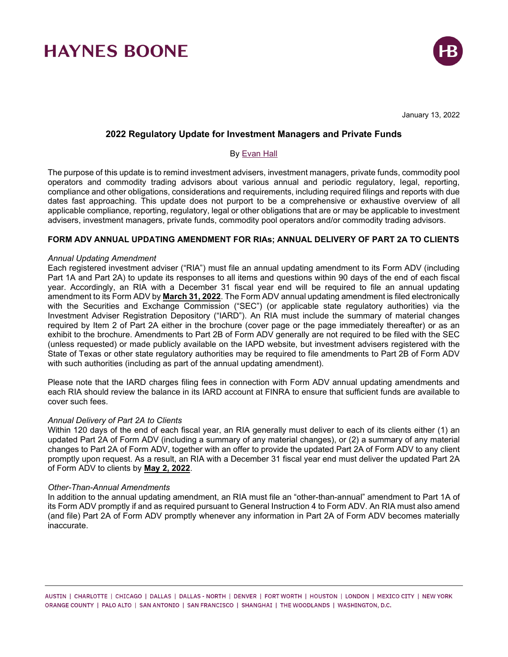

January 13, 2022

## **2022 Regulatory Update for Investment Managers and Private Funds**

# By [Evan Hall](https://www.haynesboone.com/people/hall-evan)

The purpose of this update is to remind investment advisers, investment managers, private funds, commodity pool operators and commodity trading advisors about various annual and periodic regulatory, legal, reporting, compliance and other obligations, considerations and requirements, including required filings and reports with due dates fast approaching. This update does not purport to be a comprehensive or exhaustive overview of all applicable compliance, reporting, regulatory, legal or other obligations that are or may be applicable to investment advisers, investment managers, private funds, commodity pool operators and/or commodity trading advisors.

### **FORM ADV ANNUAL UPDATING AMENDMENT FOR RIAs; ANNUAL DELIVERY OF PART 2A TO CLIENTS**

#### *Annual Updating Amendment*

Each registered investment adviser ("RIA") must file an annual updating amendment to its Form ADV (including Part 1A and Part 2A) to update its responses to all items and questions within 90 days of the end of each fiscal year. Accordingly, an RIA with a December 31 fiscal year end will be required to file an annual updating amendment to its Form ADV by **March 31, 2022**. The Form ADV annual updating amendment is filed electronically with the Securities and Exchange Commission ("SEC") (or applicable state regulatory authorities) via the Investment Adviser Registration Depository ("IARD"). An RIA must include the summary of material changes required by Item 2 of Part 2A either in the brochure (cover page or the page immediately thereafter) or as an exhibit to the brochure. Amendments to Part 2B of Form ADV generally are not required to be filed with the SEC (unless requested) or made publicly available on the IAPD website, but investment advisers registered with the State of Texas or other state regulatory authorities may be required to file amendments to Part 2B of Form ADV with such authorities (including as part of the annual updating amendment).

Please note that the IARD charges filing fees in connection with Form ADV annual updating amendments and each RIA should review the balance in its IARD account at FINRA to ensure that sufficient funds are available to cover such fees.

#### *Annual Delivery of Part 2A to Clients*

Within 120 days of the end of each fiscal year, an RIA generally must deliver to each of its clients either (1) an updated Part 2A of Form ADV (including a summary of any material changes), or (2) a summary of any material changes to Part 2A of Form ADV, together with an offer to provide the updated Part 2A of Form ADV to any client promptly upon request. As a result, an RIA with a December 31 fiscal year end must deliver the updated Part 2A of Form ADV to clients by **May 2, 2022**.

#### *Other-Than-Annual Amendments*

In addition to the annual updating amendment, an RIA must file an "other-than-annual" amendment to Part 1A of its Form ADV promptly if and as required pursuant to General Instruction 4 to Form ADV. An RIA must also amend (and file) Part 2A of Form ADV promptly whenever any information in Part 2A of Form ADV becomes materially inaccurate.

AUSTIN | CHARLOTTE | CHICAGO | DALLAS | DALLAS - NORTH | DENVER | FORT WORTH | HOUSTON | LONDON | MEXICO CITY | NEW YORK ORANGE COUNTY | PALO ALTO | SAN ANTONIO | SAN FRANCISCO | SHANGHAI | THE WOODLANDS | WASHINGTON, D.C.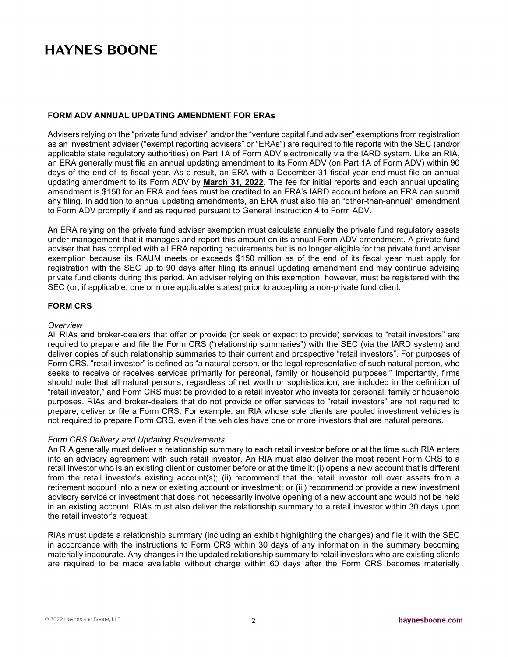### **FORM ADV ANNUAL UPDATING AMENDMENT FOR ERAs**

Advisers relying on the "private fund adviser" and/or the "venture capital fund adviser" exemptions from registration as an investment adviser ("exempt reporting advisers" or "ERAs") are required to file reports with the SEC (and/or applicable state regulatory authorities) on Part 1A of Form ADV electronically via the IARD system. Like an RIA, an ERA generally must file an annual updating amendment to its Form ADV (on Part 1A of Form ADV) within 90 days of the end of its fiscal year. As a result, an ERA with a December 31 fiscal year end must file an annual updating amendment to its Form ADV by **March 31, 2022**. The fee for initial reports and each annual updating amendment is \$150 for an ERA and fees must be credited to an ERA's IARD account before an ERA can submit any filing. In addition to annual updating amendments, an ERA must also file an "other-than-annual" amendment to Form ADV promptly if and as required pursuant to General Instruction 4 to Form ADV.

An ERA relying on the private fund adviser exemption must calculate annually the private fund regulatory assets under management that it manages and report this amount on its annual Form ADV amendment. A private fund adviser that has complied with all ERA reporting requirements but is no longer eligible for the private fund adviser exemption because its RAUM meets or exceeds \$150 million as of the end of its fiscal year must apply for registration with the SEC up to 90 days after filing its annual updating amendment and may continue advising private fund clients during this period. An adviser relying on this exemption, however, must be registered with the SEC (or, if applicable, one or more applicable states) prior to accepting a non-private fund client.

# **FORM CRS**

### *Overview*

All RIAs and broker-dealers that offer or provide (or seek or expect to provide) services to "retail investors" are required to prepare and file the Form CRS ("relationship summaries") with the SEC (via the IARD system) and deliver copies of such relationship summaries to their current and prospective "retail investors". For purposes of Form CRS, "retail investor" is defined as "a natural person, or the legal representative of such natural person, who seeks to receive or receives services primarily for personal, family or household purposes." Importantly, firms should note that all natural persons, regardless of net worth or sophistication, are included in the definition of "retail investor," and Form CRS must be provided to a retail investor who invests for personal, family or household purposes. RIAs and broker-dealers that do not provide or offer services to "retail investors" are not required to prepare, deliver or file a Form CRS. For example, an RIA whose sole clients are pooled investment vehicles is not required to prepare Form CRS, even if the vehicles have one or more investors that are natural persons.

### *Form CRS Delivery and Updating Requirements*

An RIA generally must deliver a relationship summary to each retail investor before or at the time such RIA enters into an advisory agreement with such retail investor. An RIA must also deliver the most recent Form CRS to a retail investor who is an existing client or customer before or at the time it: (i) opens a new account that is different from the retail investor's existing account(s); (ii) recommend that the retail investor roll over assets from a retirement account into a new or existing account or investment; or (iii) recommend or provide a new investment advisory service or investment that does not necessarily involve opening of a new account and would not be held in an existing account. RIAs must also deliver the relationship summary to a retail investor within 30 days upon the retail investor's request.

RIAs must update a relationship summary (including an exhibit highlighting the changes) and file it with the SEC in accordance with the instructions to Form CRS within 30 days of any information in the summary becoming materially inaccurate. Any changes in the updated relationship summary to retail investors who are existing clients are required to be made available without charge within 60 days after the Form CRS becomes materially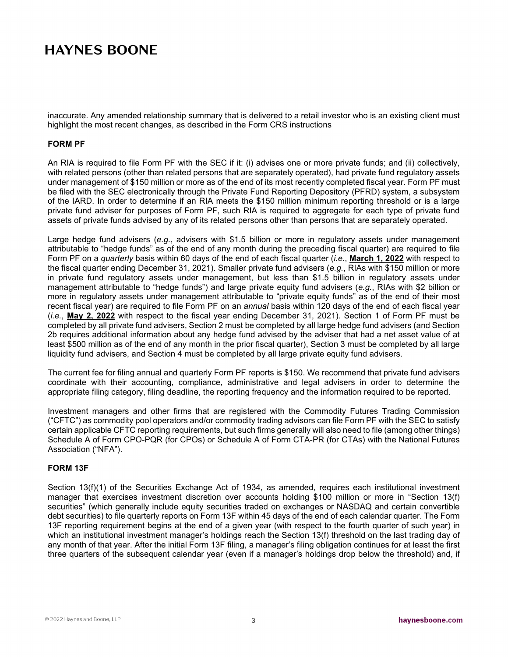inaccurate. Any amended relationship summary that is delivered to a retail investor who is an existing client must highlight the most recent changes, as described in the Form CRS instructions

### **FORM PF**

An RIA is required to file Form PF with the SEC if it: (i) advises one or more private funds; and (ii) collectively, with related persons (other than related persons that are separately operated), had private fund regulatory assets under management of \$150 million or more as of the end of its most recently completed fiscal year. Form PF must be filed with the SEC electronically through the Private Fund Reporting Depository (PFRD) system, a subsystem of the IARD. In order to determine if an RIA meets the \$150 million minimum reporting threshold or is a large private fund adviser for purposes of Form PF, such RIA is required to aggregate for each type of private fund assets of private funds advised by any of its related persons other than persons that are separately operated.

Large hedge fund advisers (*e.g.*, advisers with \$1.5 billion or more in regulatory assets under management attributable to "hedge funds" as of the end of any month during the preceding fiscal quarter) are required to file Form PF on a *quarterly* basis within 60 days of the end of each fiscal quarter (*i.e.*, **March 1, 2022** with respect to the fiscal quarter ending December 31, 2021). Smaller private fund advisers (*e.g.*, RIAs with \$150 million or more in private fund regulatory assets under management, but less than \$1.5 billion in regulatory assets under management attributable to "hedge funds") and large private equity fund advisers (*e.g.*, RIAs with \$2 billion or more in regulatory assets under management attributable to "private equity funds" as of the end of their most recent fiscal year) are required to file Form PF on an *annual* basis within 120 days of the end of each fiscal year (*i.e.*, **May 2, 2022** with respect to the fiscal year ending December 31, 2021). Section 1 of Form PF must be completed by all private fund advisers, Section 2 must be completed by all large hedge fund advisers (and Section 2b requires additional information about any hedge fund advised by the adviser that had a net asset value of at least \$500 million as of the end of any month in the prior fiscal quarter), Section 3 must be completed by all large liquidity fund advisers, and Section 4 must be completed by all large private equity fund advisers.

The current fee for filing annual and quarterly Form PF reports is \$150. We recommend that private fund advisers coordinate with their accounting, compliance, administrative and legal advisers in order to determine the appropriate filing category, filing deadline, the reporting frequency and the information required to be reported.

Investment managers and other firms that are registered with the Commodity Futures Trading Commission ("CFTC") as commodity pool operators and/or commodity trading advisors can file Form PF with the SEC to satisfy certain applicable CFTC reporting requirements, but such firms generally will also need to file (among other things) Schedule A of Form CPO-PQR (for CPOs) or Schedule A of Form CTA-PR (for CTAs) with the National Futures Association ("NFA").

### **FORM 13F**

Section 13(f)(1) of the Securities Exchange Act of 1934, as amended, requires each institutional investment manager that exercises investment discretion over accounts holding \$100 million or more in "Section 13(f) securities" (which generally include equity securities traded on exchanges or NASDAQ and certain convertible debt securities) to file quarterly reports on Form 13F within 45 days of the end of each calendar quarter. The Form 13F reporting requirement begins at the end of a given year (with respect to the fourth quarter of such year) in which an institutional investment manager's holdings reach the Section 13(f) threshold on the last trading day of any month of that year. After the initial Form 13F filing, a manager's filing obligation continues for at least the first three quarters of the subsequent calendar year (even if a manager's holdings drop below the threshold) and, if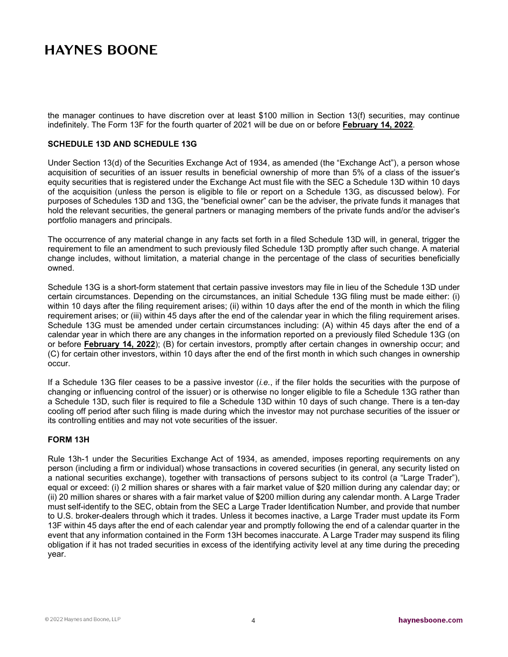the manager continues to have discretion over at least \$100 million in Section 13(f) securities, may continue indefinitely. The Form 13F for the fourth quarter of 2021 will be due on or before **February 14, 2022**.

### **SCHEDULE 13D AND SCHEDULE 13G**

Under Section 13(d) of the Securities Exchange Act of 1934, as amended (the "Exchange Act"), a person whose acquisition of securities of an issuer results in beneficial ownership of more than 5% of a class of the issuer's equity securities that is registered under the Exchange Act must file with the SEC a Schedule 13D within 10 days of the acquisition (unless the person is eligible to file or report on a Schedule 13G, as discussed below). For purposes of Schedules 13D and 13G, the "beneficial owner" can be the adviser, the private funds it manages that hold the relevant securities, the general partners or managing members of the private funds and/or the adviser's portfolio managers and principals.

The occurrence of any material change in any facts set forth in a filed Schedule 13D will, in general, trigger the requirement to file an amendment to such previously filed Schedule 13D promptly after such change. A material change includes, without limitation, a material change in the percentage of the class of securities beneficially owned.

Schedule 13G is a short-form statement that certain passive investors may file in lieu of the Schedule 13D under certain circumstances. Depending on the circumstances, an initial Schedule 13G filing must be made either: (i) within 10 days after the filing requirement arises; (ii) within 10 days after the end of the month in which the filing requirement arises; or (iii) within 45 days after the end of the calendar year in which the filing requirement arises. Schedule 13G must be amended under certain circumstances including: (A) within 45 days after the end of a calendar year in which there are any changes in the information reported on a previously filed Schedule 13G (on or before **February 14, 2022**); (B) for certain investors, promptly after certain changes in ownership occur; and (C) for certain other investors, within 10 days after the end of the first month in which such changes in ownership occur.

If a Schedule 13G filer ceases to be a passive investor (*i.e.*, if the filer holds the securities with the purpose of changing or influencing control of the issuer) or is otherwise no longer eligible to file a Schedule 13G rather than a Schedule 13D, such filer is required to file a Schedule 13D within 10 days of such change. There is a ten-day cooling off period after such filing is made during which the investor may not purchase securities of the issuer or its controlling entities and may not vote securities of the issuer.

### **FORM 13H**

Rule 13h-1 under the Securities Exchange Act of 1934, as amended, imposes reporting requirements on any person (including a firm or individual) whose transactions in covered securities (in general, any security listed on a national securities exchange), together with transactions of persons subject to its control (a "Large Trader"), equal or exceed: (i) 2 million shares or shares with a fair market value of \$20 million during any calendar day; or (ii) 20 million shares or shares with a fair market value of \$200 million during any calendar month. A Large Trader must self-identify to the SEC, obtain from the SEC a Large Trader Identification Number, and provide that number to U.S. broker-dealers through which it trades. Unless it becomes inactive, a Large Trader must update its Form 13F within 45 days after the end of each calendar year and promptly following the end of a calendar quarter in the event that any information contained in the Form 13H becomes inaccurate. A Large Trader may suspend its filing obligation if it has not traded securities in excess of the identifying activity level at any time during the preceding year.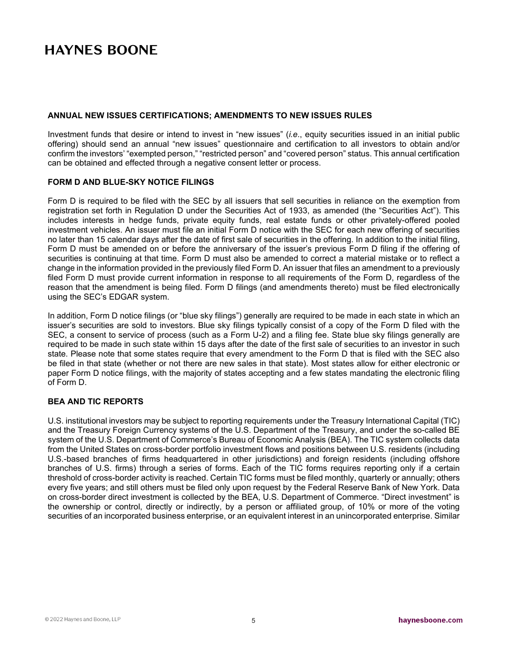#### **ANNUAL NEW ISSUES CERTIFICATIONS; AMENDMENTS TO NEW ISSUES RULES**

Investment funds that desire or intend to invest in "new issues" (*i.e*., equity securities issued in an initial public offering) should send an annual "new issues" questionnaire and certification to all investors to obtain and/or confirm the investors' "exempted person," "restricted person" and "covered person" status. This annual certification can be obtained and effected through a negative consent letter or process.

#### **FORM D AND BLUE-SKY NOTICE FILINGS**

Form D is required to be filed with the SEC by all issuers that sell securities in reliance on the exemption from registration set forth in Regulation D under the Securities Act of 1933, as amended (the "Securities Act"). This includes interests in hedge funds, private equity funds, real estate funds or other privately-offered pooled investment vehicles. An issuer must file an initial Form D notice with the SEC for each new offering of securities no later than 15 calendar days after the date of first sale of securities in the offering. In addition to the initial filing, Form D must be amended on or before the anniversary of the issuer's previous Form D filing if the offering of securities is continuing at that time. Form D must also be amended to correct a material mistake or to reflect a change in the information provided in the previously filed Form D. An issuer that files an amendment to a previously filed Form D must provide current information in response to all requirements of the Form D, regardless of the reason that the amendment is being filed. Form D filings (and amendments thereto) must be filed electronically using the SEC's EDGAR system.

In addition, Form D notice filings (or "blue sky filings") generally are required to be made in each state in which an issuer's securities are sold to investors. Blue sky filings typically consist of a copy of the Form D filed with the SEC, a consent to service of process (such as a Form U-2) and a filing fee. State blue sky filings generally are required to be made in such state within 15 days after the date of the first sale of securities to an investor in such state. Please note that some states require that every amendment to the Form D that is filed with the SEC also be filed in that state (whether or not there are new sales in that state). Most states allow for either electronic or paper Form D notice filings, with the majority of states accepting and a few states mandating the electronic filing of Form D.

### **BEA AND TIC REPORTS**

U.S. institutional investors may be subject to reporting requirements under the Treasury International Capital (TIC) and the Treasury Foreign Currency systems of the U.S. Department of the Treasury, and under the so-called BE system of the U.S. Department of Commerce's Bureau of Economic Analysis (BEA). The TIC system collects data from the United States on cross-border portfolio investment flows and positions between U.S. residents (including U.S.-based branches of firms headquartered in other jurisdictions) and foreign residents (including offshore branches of U.S. firms) through a series of forms. Each of the TIC forms requires reporting only if a certain threshold of cross-border activity is reached. Certain TIC forms must be filed monthly, quarterly or annually; others every five years; and still others must be filed only upon request by the Federal Reserve Bank of New York. Data on cross-border direct investment is collected by the BEA, U.S. Department of Commerce. "Direct investment" is the ownership or control, directly or indirectly, by a person or affiliated group, of 10% or more of the voting securities of an incorporated business enterprise, or an equivalent interest in an unincorporated enterprise. Similar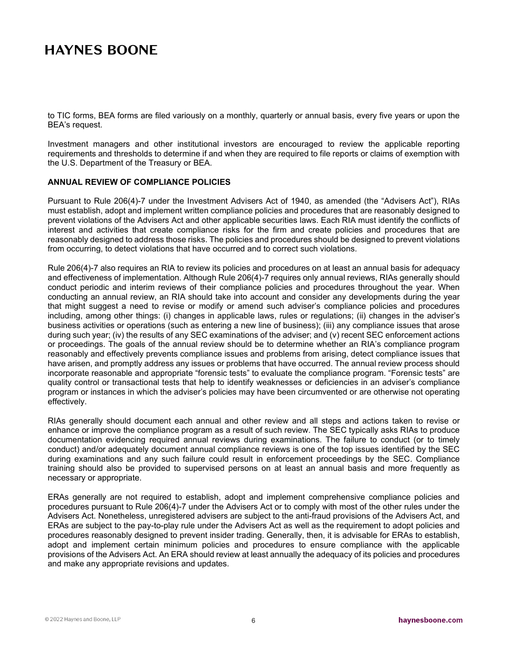to TIC forms, BEA forms are filed variously on a monthly, quarterly or annual basis, every five years or upon the BEA's request.

Investment managers and other institutional investors are encouraged to review the applicable reporting requirements and thresholds to determine if and when they are required to file reports or claims of exemption with the U.S. Department of the Treasury or BEA.

### **ANNUAL REVIEW OF COMPLIANCE POLICIES**

Pursuant to Rule 206(4)-7 under the Investment Advisers Act of 1940, as amended (the "Advisers Act"), RIAs must establish, adopt and implement written compliance policies and procedures that are reasonably designed to prevent violations of the Advisers Act and other applicable securities laws. Each RIA must identify the conflicts of interest and activities that create compliance risks for the firm and create policies and procedures that are reasonably designed to address those risks. The policies and procedures should be designed to prevent violations from occurring, to detect violations that have occurred and to correct such violations.

Rule 206(4)-7 also requires an RIA to review its policies and procedures on at least an annual basis for adequacy and effectiveness of implementation. Although Rule 206(4)-7 requires only annual reviews, RIAs generally should conduct periodic and interim reviews of their compliance policies and procedures throughout the year. When conducting an annual review, an RIA should take into account and consider any developments during the year that might suggest a need to revise or modify or amend such adviser's compliance policies and procedures including, among other things: (i) changes in applicable laws, rules or regulations; (ii) changes in the adviser's business activities or operations (such as entering a new line of business); (iii) any compliance issues that arose during such year; (iv) the results of any SEC examinations of the adviser; and (v) recent SEC enforcement actions or proceedings. The goals of the annual review should be to determine whether an RIA's compliance program reasonably and effectively prevents compliance issues and problems from arising, detect compliance issues that have arisen, and promptly address any issues or problems that have occurred. The annual review process should incorporate reasonable and appropriate "forensic tests" to evaluate the compliance program. "Forensic tests" are quality control or transactional tests that help to identify weaknesses or deficiencies in an adviser's compliance program or instances in which the adviser's policies may have been circumvented or are otherwise not operating effectively.

RIAs generally should document each annual and other review and all steps and actions taken to revise or enhance or improve the compliance program as a result of such review. The SEC typically asks RIAs to produce documentation evidencing required annual reviews during examinations. The failure to conduct (or to timely conduct) and/or adequately document annual compliance reviews is one of the top issues identified by the SEC during examinations and any such failure could result in enforcement proceedings by the SEC. Compliance training should also be provided to supervised persons on at least an annual basis and more frequently as necessary or appropriate.

ERAs generally are not required to establish, adopt and implement comprehensive compliance policies and procedures pursuant to Rule 206(4)-7 under the Advisers Act or to comply with most of the other rules under the Advisers Act. Nonetheless, unregistered advisers are subject to the anti-fraud provisions of the Advisers Act, and ERAs are subject to the pay-to-play rule under the Advisers Act as well as the requirement to adopt policies and procedures reasonably designed to prevent insider trading. Generally, then, it is advisable for ERAs to establish, adopt and implement certain minimum policies and procedures to ensure compliance with the applicable provisions of the Advisers Act. An ERA should review at least annually the adequacy of its policies and procedures and make any appropriate revisions and updates.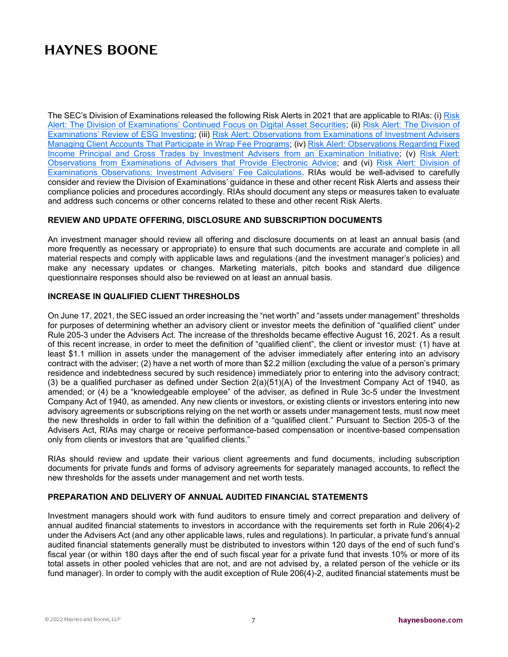The SEC's Division of Examinations released the following [Risk](https://www.sec.gov/files/digital-assets-risk-alert.pdf) Alerts in 2021 that are applicable to RIAs: (i) Risk [Alert: The Division of Examinations' Continued Focus on Digital Asset Securities;](https://www.sec.gov/files/digital-assets-risk-alert.pdf) (ii) [Risk Alert: The Division of](https://www.sec.gov/files/esg-risk-alert.pdf)  [Examinations' Review of ESG Investing;](https://www.sec.gov/files/esg-risk-alert.pdf) (iii) [Risk Alert: Observations from Examinations of Investment Advisers](https://www.sec.gov/files/wrap-fee-programs-risk-alert_0.pdf)  [Managing Client Accounts That Participate in Wrap Fee Programs;](https://www.sec.gov/files/wrap-fee-programs-risk-alert_0.pdf) (iv) [Risk Alert: Observations Regarding Fixed](https://www.sec.gov/files/fixed-income-principal-and-cross-trades-risk-alert.pdf)  [Income Principal and Cross Trades by Investment Advisers from an Examination Initiative;](https://www.sec.gov/files/fixed-income-principal-and-cross-trades-risk-alert.pdf) (v) Risk Alert: [Observations from Examinations of Advisers that Provide Electronic Advice;](https://www.sec.gov/files/exams-eia-risk-alert.pdf) and (vi) [Risk Alert: Division of](https://www.sec.gov/files/exams-risk-alert-fee-calculations.pdf)  [Examinations Observations: Investment Advisers' Fee Calculations.](https://www.sec.gov/files/exams-risk-alert-fee-calculations.pdf) RIAs would be well-advised to carefully consider and review the Division of Examinations' guidance in these and other recent Risk Alerts and assess their compliance policies and procedures accordingly. RIAs should document any steps or measures taken to evaluate and address such concerns or other concerns related to these and other recent Risk Alerts.

### **REVIEW AND UPDATE OFFERING, DISCLOSURE AND SUBSCRIPTION DOCUMENTS**

An investment manager should review all offering and disclosure documents on at least an annual basis (and more frequently as necessary or appropriate) to ensure that such documents are accurate and complete in all material respects and comply with applicable laws and regulations (and the investment manager's policies) and make any necessary updates or changes. Marketing materials, pitch books and standard due diligence questionnaire responses should also be reviewed on at least an annual basis.

## **INCREASE IN QUALIFIED CLIENT THRESHOLDS**

On June 17, 2021, the SEC issued an order increasing the "net worth" and "assets under management" thresholds for purposes of determining whether an advisory client or investor meets the definition of "qualified client" under Rule 205-3 under the Advisers Act. The increase of the thresholds became effective August 16, 2021. As a result of this recent increase, in order to meet the definition of "qualified client", the client or investor must: (1) have at least \$1.1 million in assets under the management of the adviser immediately after entering into an advisory contract with the adviser; (2) have a net worth of more than \$2.2 million (excluding the value of a person's primary residence and indebtedness secured by such residence) immediately prior to entering into the advisory contract; (3) be a qualified purchaser as defined under Section 2(a)(51)(A) of the Investment Company Act of 1940, as amended; or (4) be a "knowledgeable employee" of the adviser, as defined in Rule 3c-5 under the Investment Company Act of 1940, as amended. Any new clients or investors, or existing clients or investors entering into new advisory agreements or subscriptions relying on the net worth or assets under management tests, must now meet the new thresholds in order to fall within the definition of a "qualified client." Pursuant to Section 205-3 of the Advisers Act, RIAs may charge or receive performance-based compensation or incentive-based compensation only from clients or investors that are "qualified clients."

RIAs should review and update their various client agreements and fund documents, including subscription documents for private funds and forms of advisory agreements for separately managed accounts, to reflect the new thresholds for the assets under management and net worth tests.

### **PREPARATION AND DELIVERY OF ANNUAL AUDITED FINANCIAL STATEMENTS**

Investment managers should work with fund auditors to ensure timely and correct preparation and delivery of annual audited financial statements to investors in accordance with the requirements set forth in Rule 206(4)-2 under the Advisers Act (and any other applicable laws, rules and regulations). In particular, a private fund's annual audited financial statements generally must be distributed to investors within 120 days of the end of such fund's fiscal year (or within 180 days after the end of such fiscal year for a private fund that invests 10% or more of its total assets in other pooled vehicles that are not, and are not advised by, a related person of the vehicle or its fund manager). In order to comply with the audit exception of Rule 206(4)-2, audited financial statements must be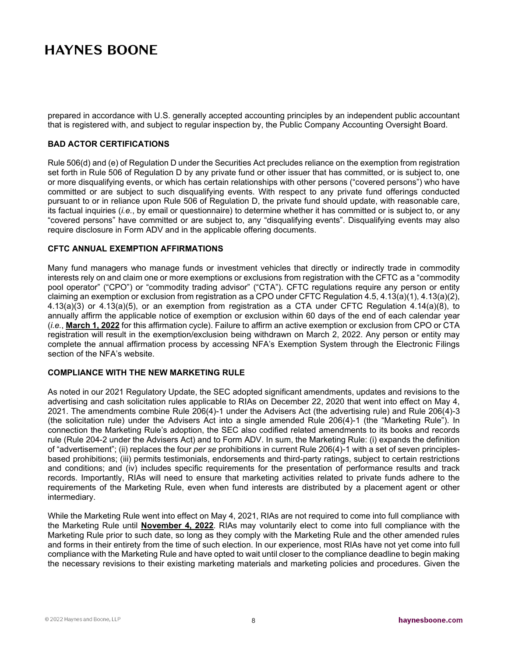prepared in accordance with U.S. generally accepted accounting principles by an independent public accountant that is registered with, and subject to regular inspection by, the Public Company Accounting Oversight Board.

### **BAD ACTOR CERTIFICATIONS**

Rule 506(d) and (e) of Regulation D under the Securities Act precludes reliance on the exemption from registration set forth in Rule 506 of Regulation D by any private fund or other issuer that has committed, or is subject to, one or more disqualifying events, or which has certain relationships with other persons ("covered persons") who have committed or are subject to such disqualifying events. With respect to any private fund offerings conducted pursuant to or in reliance upon Rule 506 of Regulation D, the private fund should update, with reasonable care, its factual inquiries (*i.e.*, by email or questionnaire) to determine whether it has committed or is subject to, or any "covered persons" have committed or are subject to, any "disqualifying events". Disqualifying events may also require disclosure in Form ADV and in the applicable offering documents.

#### **CFTC ANNUAL EXEMPTION AFFIRMATIONS**

Many fund managers who manage funds or investment vehicles that directly or indirectly trade in commodity interests rely on and claim one or more exemptions or exclusions from registration with the CFTC as a "commodity pool operator" ("CPO") or "commodity trading advisor" ("CTA"). CFTC regulations require any person or entity claiming an exemption or exclusion from registration as a CPO under CFTC Regulation 4.5, 4.13(a)(1), 4.13(a)(2), 4.13(a)(3) or 4.13(a)(5), or an exemption from registration as a CTA under CFTC Regulation 4.14(a)(8), to annually affirm the applicable notice of exemption or exclusion within 60 days of the end of each calendar year (*i.e.*, **March 1, 2022** for this affirmation cycle). Failure to affirm an active exemption or exclusion from CPO or CTA registration will result in the exemption/exclusion being withdrawn on March 2, 2022. Any person or entity may complete the annual affirmation process by accessing NFA's Exemption System through the Electronic Filings section of the NFA's website.

#### **COMPLIANCE WITH THE NEW MARKETING RULE**

As noted in our 2021 Regulatory Update, the SEC adopted significant amendments, updates and revisions to the advertising and cash solicitation rules applicable to RIAs on December 22, 2020 that went into effect on May 4, 2021. The amendments combine Rule 206(4)-1 under the Advisers Act (the advertising rule) and Rule 206(4)-3 (the solicitation rule) under the Advisers Act into a single amended Rule 206(4)-1 (the "Marketing Rule"). In connection the Marketing Rule's adoption, the SEC also codified related amendments to its books and records rule (Rule 204-2 under the Advisers Act) and to Form ADV. In sum, the Marketing Rule: (i) expands the definition of "advertisement"; (ii) replaces the four *per se* prohibitions in current Rule 206(4)-1 with a set of seven principlesbased prohibitions; (iii) permits testimonials, endorsements and third-party ratings, subject to certain restrictions and conditions; and (iv) includes specific requirements for the presentation of performance results and track records. Importantly, RIAs will need to ensure that marketing activities related to private funds adhere to the requirements of the Marketing Rule, even when fund interests are distributed by a placement agent or other intermediary.

While the Marketing Rule went into effect on May 4, 2021, RIAs are not required to come into full compliance with the Marketing Rule until **November 4, 2022**. RIAs may voluntarily elect to come into full compliance with the Marketing Rule prior to such date, so long as they comply with the Marketing Rule and the other amended rules and forms in their entirety from the time of such election. In our experience, most RIAs have not yet come into full compliance with the Marketing Rule and have opted to wait until closer to the compliance deadline to begin making the necessary revisions to their existing marketing materials and marketing policies and procedures. Given the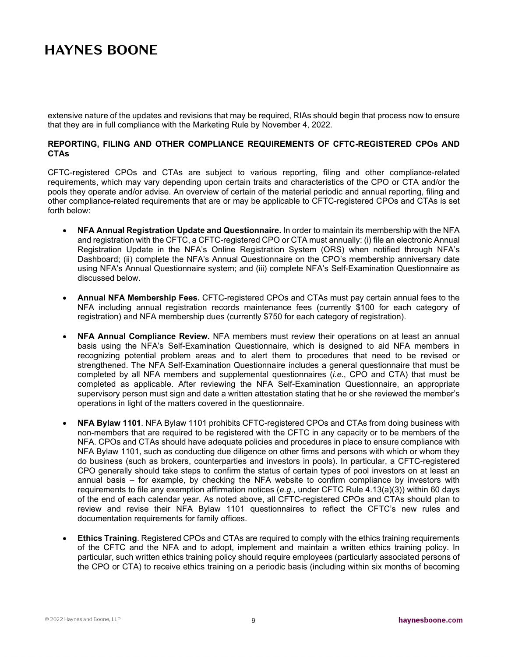extensive nature of the updates and revisions that may be required, RIAs should begin that process now to ensure that they are in full compliance with the Marketing Rule by November 4, 2022.

### **REPORTING, FILING AND OTHER COMPLIANCE REQUIREMENTS OF CFTC-REGISTERED CPOs AND CTAs**

CFTC-registered CPOs and CTAs are subject to various reporting, filing and other compliance-related requirements, which may vary depending upon certain traits and characteristics of the CPO or CTA and/or the pools they operate and/or advise. An overview of certain of the material periodic and annual reporting, filing and other compliance-related requirements that are or may be applicable to CFTC-registered CPOs and CTAs is set forth below:

- **NFA Annual Registration Update and Questionnaire.** In order to maintain its membership with the NFA and registration with the CFTC, a CFTC-registered CPO or CTA must annually: (i) file an electronic Annual Registration Update in the NFA's Online Registration System (ORS) when notified through NFA's Dashboard; (ii) complete the NFA's Annual Questionnaire on the CPO's membership anniversary date using NFA's Annual Questionnaire system; and (iii) complete NFA's Self-Examination Questionnaire as discussed below.
- **Annual NFA Membership Fees.** CFTC-registered CPOs and CTAs must pay certain annual fees to the NFA including annual registration records maintenance fees (currently \$100 for each category of registration) and NFA membership dues (currently \$750 for each category of registration).
- **NFA Annual Compliance Review.** NFA members must review their operations on at least an annual basis using the NFA's Self-Examination Questionnaire, which is designed to aid NFA members in recognizing potential problem areas and to alert them to procedures that need to be revised or strengthened. The NFA Self-Examination Questionnaire includes a general questionnaire that must be completed by all NFA members and supplemental questionnaires (*i.e.*, CPO and CTA) that must be completed as applicable. After reviewing the NFA Self-Examination Questionnaire, an appropriate supervisory person must sign and date a written attestation stating that he or she reviewed the member's operations in light of the matters covered in the questionnaire.
- **NFA Bylaw 1101**. NFA Bylaw 1101 prohibits CFTC-registered CPOs and CTAs from doing business with non-members that are required to be registered with the CFTC in any capacity or to be members of the NFA. CPOs and CTAs should have adequate policies and procedures in place to ensure compliance with NFA Bylaw 1101, such as conducting due diligence on other firms and persons with which or whom they do business (such as brokers, counterparties and investors in pools). In particular, a CFTC-registered CPO generally should take steps to confirm the status of certain types of pool investors on at least an annual basis – for example, by checking the NFA website to confirm compliance by investors with requirements to file any exemption affirmation notices (*e.g.*, under CFTC Rule 4.13(a)(3)) within 60 days of the end of each calendar year. As noted above, all CFTC-registered CPOs and CTAs should plan to review and revise their NFA Bylaw 1101 questionnaires to reflect the CFTC's new rules and documentation requirements for family offices.
- **Ethics Training**. Registered CPOs and CTAs are required to comply with the ethics training requirements of the CFTC and the NFA and to adopt, implement and maintain a written ethics training policy. In particular, such written ethics training policy should require employees (particularly associated persons of the CPO or CTA) to receive ethics training on a periodic basis (including within six months of becoming